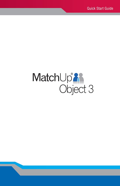# MatchUp<sup>®</sup>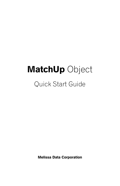# MatchUp Object Quick Start Guide

Melissa Data Corporation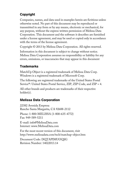# Copyright

Companies, names, and data used in examples herein are fictitious unless otherwise noted. No part of this document may be reproduced or transmitted in any form or by any means, electronic or mechanical, for any purpose, without the express written permission of Melissa Data Corporation. This document and the software it describes are furnished under a license agreement, and may be used or copied only in accordance with the terms of the license agreement.

Copyright © 2013 by Melissa Data Corporation. All rights reserved.

Information in this document is subject to change without notice. Melissa Data Corporation assumes no responsibility or liability for any errors, omissions, or inaccuracies that may appear in this document

## Trademarks

MatchUp Object is a registered trademark of Melissa Data Corp. Windows is a registered trademark of Microsoft Corp.

The following are registered trademarks of the United States Postal Service®: United States Postal Service, ZIP, ZIP Code, and ZIP + 4.

All other brands and products are trademarks of their respective holder(s).

# Melissa Data Corporation

22382 Avenida Empresa Rancho Santa Margarita, CA 92688-2112 Phone: 1-800-MELISSA (1-800-635-4772) Fax: 949-589-5211

E-mail: info@MelissaData.com Internet: www.MelissaData.com

For the most recent version of this document, visit http://www.melissadata.com/tech/matchup-object.htm

Document Code: DQTAPIMUOQSG Revision Number: 14022013.14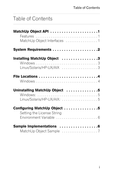# Table of Contents

| MatchUp Object Interfaces 1   |  |
|-------------------------------|--|
|                               |  |
| Installing MatchUp Object 3   |  |
|                               |  |
| Linux/Solaris/HP-UX/AIX 3     |  |
|                               |  |
|                               |  |
| Uninstalling MatchUp Object 5 |  |
|                               |  |
| Linux/Solaris/HP-UX/AIX: 5    |  |
| Configuring MatchUp Object 5  |  |
| Setting the License String    |  |
|                               |  |
| Sample Implementations 6      |  |
| MatchUp Object Sample 7       |  |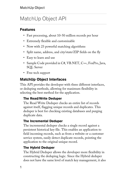# <span id="page-4-0"></span>MatchUp Object API

# <span id="page-4-1"></span>Features

- Fast processing, about 10-50 million records per hour
- Extremely flexible and customizable
- Now with 23 powerful matching algorithms
- Split name, address, and city/state/ZIP fields on the fly
- Easy to learn and use
- Sample Code provided in C#, VB.NET, C++, FoxPro, Java, SQL Server
- Free tech support

# <span id="page-4-2"></span>MatchUp Object Interfaces

This API provides the developer with three different interfaces, or deduping methods, allowing for maximum flexibility in selecting the best method for the application.

# The Read/Write Deduper

The Read Write Deduper checks an entire list of records against itself, flagging unique records and duplicates. This deduper is best for checking existing databases and purging duplicate data.

# The Incremental Deduper

The incremental deduper checks a single record against a persistent historical key file. This enables an application to field incoming records, such as from a website or a customer service system, easily detect duplicate records, pointing the application to the original unique record.

# The Hybrid Deduper

The Hybrid Deduper allows the developer more flexibility in constructing the deduping logic. Since the Hybrid deduper does not have the same level of match key management, it also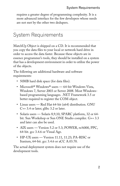requires a greater degree of programming complexity. It is a more advanced interface for the few developers whose needs are not met by the other two dedupers.

# <span id="page-5-0"></span>System Requirements

MatchUp Object is shipped on a CD. It is recommended that you copy the data files to your local or network hard drive in order to access the data faster. Because these objects are in essence programmer's tools, they should be installed on a system that has a development environment in order to utilize the power of the objects.

The following are additional hardware and software requirements:

- 50MB hard disk space (for data files).
- Microsoft® Windows® users 64-bit Windows Vista, Windows 7, Server 2003 or Server 2008. Most Windowsbased programming languages. .NET Framework 3.5 or better required to register the COM object.
- Linux users Red Hat 64-bit (x64) distribution. GNU C++ 3.4 or later; glibc 3.2 or later.
- Solaris users Solaris 8,9,10, SPARC platform, 32 or 64bit. Sun Workshop or Sun ONE Studio compiler. G++ 3.3 and later can also be used.
- AIX users Version 5.2 or 5.3; POWER, rs/6000, PPC, 64-bit. gcc 3.4.6 or Visual Age.
- HP-UX users Version 11.11, 11.23; PA-RISC or Itanium, 64-bit. gcc 3.4.6 or aCC A.03.70.

The actual deployment system does not require use of the development tools.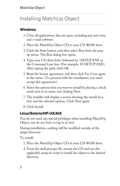# <span id="page-6-0"></span>Installing MatchUp Object

# <span id="page-6-1"></span>Windows

- 1. Close all applications that are open, including any anti-virus and e-mail software.
- 2. Place the MatchUp Object CD in your CD-ROM drive.
- 3. Click the Start button, and then select Run from the popup menu. The Run dialog box opens.
- 4. Type your CD drive letter followed by :\SETUP.EXE in the Command Line box. (For example, D:\SETUP.EXE). After typing the path, click OK.
- 5. Read the license agreement, and then click Yes if you agree to the terms. (To proceed with the installation, you must accept this agreement.)
- 6. Select the options that you want to install by placing a check mark next to its name and clicking Next.
- 7. The installer will display a screen showing the install location and the selected options. Click Next again.
- 8. Click Install.

# <span id="page-6-2"></span>Linux/Solaris/HP-UX/AIX

You do not need any special privileges when installing MatchUp Object, nor do you have to log in as root.

During installation, nothing will be modified outside of the target directory.

To install:

- 1. Place the MatchUp Object CD in your CD-ROM drive.
- 2. From the shell prompt (\$), mount the CD and run the applicable setup.sh script to install the object to the desired directory.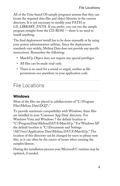All of the Unix-based OS sample programs assume that they can locate the required data files and object libraries in the current directory. It is not necessary to modify your PATH or LD\_LIBRARY\_PATH. If you prefer, you can run the sample program straight from the CD-ROM — there is no need to install anything.

The final deployment install has to be done manually or by using your system administration utilities. Since the deployment standards vary widely, Melissa Data does not provide any specific instructions. Remember the following:

- MatchUp Object does not require any special privileges.
- All files can be made read-only.
- There is no need for a setuid or setgid, neither as file permissions nor anywhere in your application code.

# <span id="page-7-0"></span>File Locations

### <span id="page-7-1"></span>Windows

Most of the files are placed in subdirectories of "C:\Program Files\Melissa Data\DQT\."

To provide maximum compatibility with Windows, three files are installed in your 'Common App Data' directory. For Windows Vista and Windows 7 the default location is "C:\ProgramData\MelissaDATA\MatchUp." For Windows XP the default location is "C:\Documents and Settings \All Users\Application Data\Melissa DATA\MatchUp." The location of this directory can be changed by users so please note this, as it can often be the source of issues when running the samples/demos.

During the installation process your Microsoft C runtime may be updated, if needed.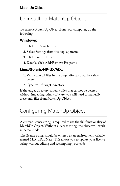# <span id="page-8-0"></span>Uninstalling MatchUp Object

To remove MatchUp Object from your computer, do the following:

# <span id="page-8-1"></span>Windows:

- 1. Click the Start button.
- 2. Select Settings from the pop-up menu.
- 3. Click Control Panel.
- 4. Double-click Add/Remove Programs.

# <span id="page-8-2"></span>Linux/Solaris/HP-UX/AIX:

- 1. Verify that all files in the target directory can be safely deleted.
- 2. Type rm -rf target-directory.

If the target directory contains files that cannot be deleted without impacting other software, you will need to manually erase only files from MatchUp Object.

# <span id="page-8-3"></span>Configuring MatchUp Object

A current license string is required to use the full functionality of MatchUp Object. Without a license string, the object will work in demo mode.

The license string should be entered as an environment variable named MD\_LICENSE. This allows you to update your license string without editing and recompiling your code.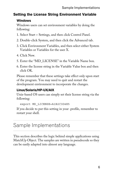# <span id="page-9-0"></span>Setting the License String Environment Variable

### Windows

Windows users can set environment variables by doing the following:

- 1. Select Start > Settings, and then click Control Panel.
- 2. Double-click System, and then click the Advanced tab.
- 3. Click Environment Variables, and then select either System Variables or Variables for the user X.
- 4. Click New.
- 5. Enter the "MD\_LICENSE" in the Variable Name box.
- 6. Enter the license string in the Variable Value box and then click OK.

Please remember that these settings take effect only upon start of the program. You may need to quit and restart the development environment to incorporate the changes.

# Linux/Solaris/HP-UX/AIX

Unix-based OS users can simply set their license string via the following:

```
export MD_LICENSE=A1B2C3D4E5
```
If you decide to put this setting in your .profile, remember to restart your shell.

# <span id="page-9-1"></span>Sample Implementations

This section describes the logic behind simple applications using MatchUp Object. The samples are written in pseudocode so they can be easily adapted into almost any language.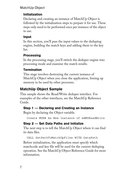## MatchUp Object

# Initialization

Declaring and creating an instance of MatchUp Object is followed by the initialization steps to prepare it for use. These steps only need to be performed once per instance of the object in use.

# Input

In this section, you'll pass the input values to the deduping engine, building the match keys and adding them to the key list.

# **Processing**

In the processing stage, you'll switch the deduper engine into processing mode and examine the match results.

# **Termination**

This stage involves destroying the current instance of MatchUp Object when you close the application, freeing up memory to be used by other processes.

# <span id="page-10-0"></span>MatchUp Object Sample

This sample shows the Read/Write deduper interface. For examples of the other interfaces, see the MatchUp Reference Guide.

# Step 1 — Declaring and Creating an Instance

Begin by declaring the Object variable.

Create MURW As New Instance of mdMUReadWrite

# Step 2 — Set Data Paths and Initialize

The next step is to tell the MatchUp Object where it can find its data files.

CALL SetPathToMatchUpFiles WITH DataPath

Before initialization, the application must specify which matchcode and key file will be used for the current deduping operation. See the MatchUp Object Reference Guide for more information.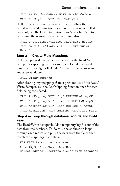```
CALL SetMatchcodeName WITH MatchCodeName
CALL SetKeyFile WITH PathToKeyFile
```
If all of the above have been set correctly, calling the InitializeDataFiles function should return a value of 0. If it does not, call the GetInitializationErrorString function to determine the reason for the failure to initialize.

```
CALL InitializeDataFiles RETURNING Result
CALL GetInitializeErrorString RETURNING 
ErrorStr
```
### Step 3 — Create Field Mappings

Field mappings define which types of data the Read/Write deduper is expecting. In this case, the selected matchcode looks for a five-digit ZIP Code™, a first name, a last name and a street address.

CALL ClearMappings

After clearing any mappings from a previous use of the Read/ Write deduper, call the AddMapping function once for each field being considered.

CALL AddMapping WITH Zip5 RETURNING mapOK CALL AddMapping WITH First RETURNING mapOK CALL AddMapping WITH Last RETURNING mapOK CALL AddMapping WITH Address RETURNING mapOK

## Step 4 — Loop through database records and build keys

The Read/Write deduper builds a temporary key file out of the data from the database. To do this, the application loops through each record and pulls the data from the fields that match the mappings made above.

```
FOR EACH Record in database
Read Zip5, FirstName, LastName, 
StreetAddress, userInfo fields from database
```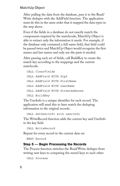MatchUp Object

After pulling the data from the database, pass it to the Read/ Write deduper with the AddField function. The application must do this in the same order that it mapped the data types in the step above.

Even if the fields in a database do not exactly match the components required by the matchcode, MatchUp Object is able to extract only the information it needs. For example, if the database only contained a full name field, that field could be passed twice and MatchUp Object would recognize the first names and last names and only use the parts it needed.

After passing each set of fields, call BuildKey to create the match key according to the mappings and the current matchcode.

```
CALL ClearFields
CALL AddField WITH Zip5
CALL AddField WITH FirstName
CALL AddField WITH LastName
CALL AddField WITH StreetAddress
CALL BuildKey
```
The UserInfo is a unique identifier for each record. The application will need this to later match the deduping information to the original records.

```
CALL SetUserInfo with userInfo
```
The WriteRecord function adds the current key and UserInfo to the key field.

CALL WriteRecord

Repeat for every record in the current data set.

NEXT Record

### Step 5 — Begin Processing the Records

The Process function switches the Read/Write deduper from writing new keys to comparing the stored keys to each other.

```
CALL Process
```